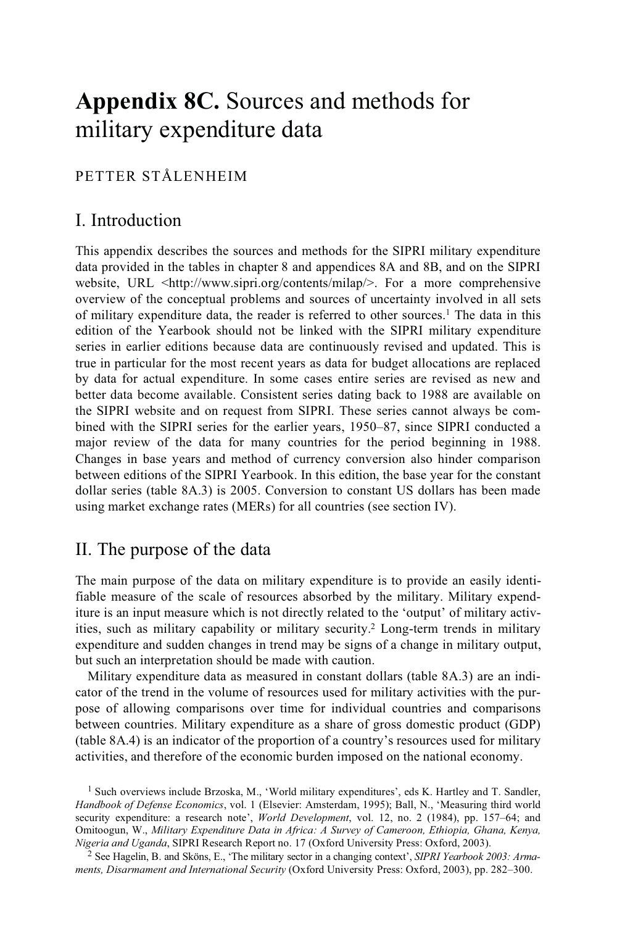# **Appendix 8C.** Sources and methods for military expenditure data

## PETTER STÅLENHEIM

# I. Introduction

This appendix describes the sources and methods for the SIPRI military expenditure data provided in the tables in chapter 8 and appendices 8A and 8B, and on the SIPRI website, URL <http://www.sipri.org/contents/milap/>. For a more comprehensive overview of the conceptual problems and sources of uncertainty involved in all sets of military expenditure data, the reader is referred to other sources.1 The data in this edition of the Yearbook should not be linked with the SIPRI military expenditure series in earlier editions because data are continuously revised and updated. This is true in particular for the most recent years as data for budget allocations are replaced by data for actual expenditure. In some cases entire series are revised as new and better data become available. Consistent series dating back to 1988 are available on the SIPRI website and on request from SIPRI. These series cannot always be combined with the SIPRI series for the earlier years, 1950–87, since SIPRI conducted a major review of the data for many countries for the period beginning in 1988. Changes in base years and method of currency conversion also hinder comparison between editions of the SIPRI Yearbook. In this edition, the base year for the constant dollar series (table 8A.3) is 2005. Conversion to constant US dollars has been made using market exchange rates (MERs) for all countries (see section IV).

# II. The purpose of the data

The main purpose of the data on military expenditure is to provide an easily identifiable measure of the scale of resources absorbed by the military. Military expenditure is an input measure which is not directly related to the 'output' of military activities, such as military capability or military security.2 Long-term trends in military expenditure and sudden changes in trend may be signs of a change in military output, but such an interpretation should be made with caution.

Military expenditure data as measured in constant dollars (table 8A.3) are an indicator of the trend in the volume of resources used for military activities with the purpose of allowing comparisons over time for individual countries and comparisons between countries. Military expenditure as a share of gross domestic product (GDP) (table 8A.4) is an indicator of the proportion of a country's resources used for military activities, and therefore of the economic burden imposed on the national economy.

<sup>&</sup>lt;sup>1</sup> Such overviews include Brzoska, M., 'World military expenditures', eds K. Hartley and T. Sandler, *Handbook of Defense Economics*, vol. 1 (Elsevier: Amsterdam, 1995); Ball, N., 'Measuring third world security expenditure: a research note', *World Development*, vol. 12, no. 2 (1984), pp. 157–64; and Omitoogun, W., *Military Expenditure Data in Africa: A Survey of Cameroon, Ethiopia, Ghana, Kenya,* 

<sup>&</sup>lt;sup>2</sup> See Hagelin, B. and Sköns, E., 'The military sector in a changing context', *SIPRI Yearbook 2003: Armaments, Disarmament and International Security* (Oxford University Press: Oxford, 2003), pp. 282–300.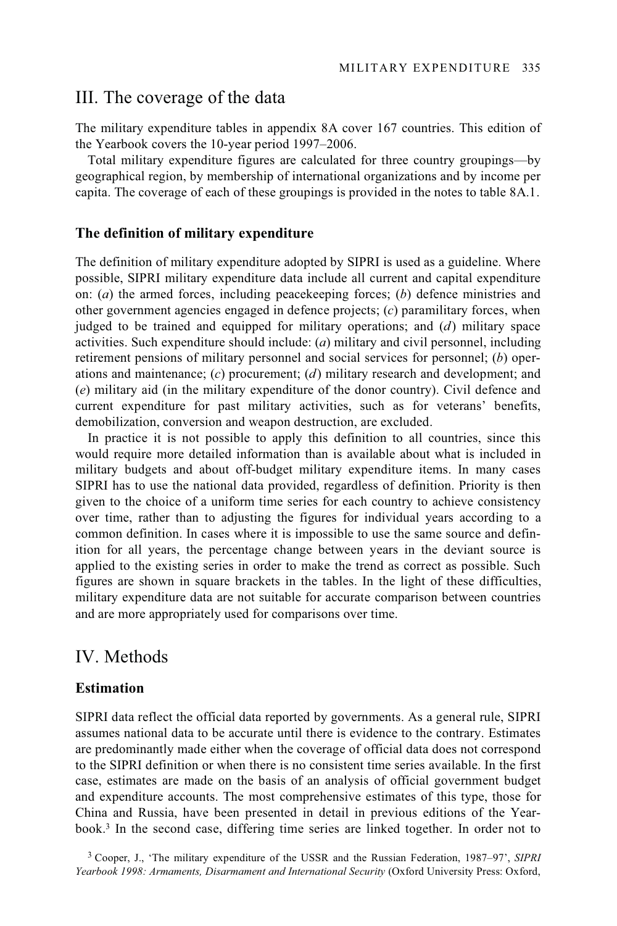## III. The coverage of the data

The military expenditure tables in appendix 8A cover 167 countries. This edition of the Yearbook covers the 10-year period 1997–2006.

Total military expenditure figures are calculated for three country groupings—by geographical region, by membership of international organizations and by income per capita. The coverage of each of these groupings is provided in the notes to table 8A.1.

#### **The definition of military expenditure**

The definition of military expenditure adopted by SIPRI is used as a guideline. Where possible, SIPRI military expenditure data include all current and capital expenditure on: (*a*) the armed forces, including peacekeeping forces; (*b*) defence ministries and other government agencies engaged in defence projects; (*c*) paramilitary forces, when judged to be trained and equipped for military operations; and (*d*) military space activities. Such expenditure should include: (*a*) military and civil personnel, including retirement pensions of military personnel and social services for personnel; (*b*) operations and maintenance; (*c*) procurement; (*d*) military research and development; and (*e*) military aid (in the military expenditure of the donor country). Civil defence and current expenditure for past military activities, such as for veterans' benefits, demobilization, conversion and weapon destruction, are excluded.

In practice it is not possible to apply this definition to all countries, since this would require more detailed information than is available about what is included in military budgets and about off-budget military expenditure items. In many cases SIPRI has to use the national data provided, regardless of definition. Priority is then given to the choice of a uniform time series for each country to achieve consistency over time, rather than to adjusting the figures for individual years according to a common definition. In cases where it is impossible to use the same source and definition for all years, the percentage change between years in the deviant source is applied to the existing series in order to make the trend as correct as possible. Such figures are shown in square brackets in the tables. In the light of these difficulties, military expenditure data are not suitable for accurate comparison between countries and are more appropriately used for comparisons over time.

### IV. Methods

#### **Estimation**

SIPRI data reflect the official data reported by governments. As a general rule, SIPRI assumes national data to be accurate until there is evidence to the contrary. Estimates are predominantly made either when the coverage of official data does not correspond to the SIPRI definition or when there is no consistent time series available. In the first case, estimates are made on the basis of an analysis of official government budget and expenditure accounts. The most comprehensive estimates of this type, those for China and Russia, have been presented in detail in previous editions of the Yearbook.3 In the second case, differing time series are linked together. In order not to

<sup>3</sup> Cooper, J., 'The military expenditure of the USSR and the Russian Federation, 1987–97', *SIPRI Yearbook 1998: Armaments, Disarmament and International Security* (Oxford University Press: Oxford,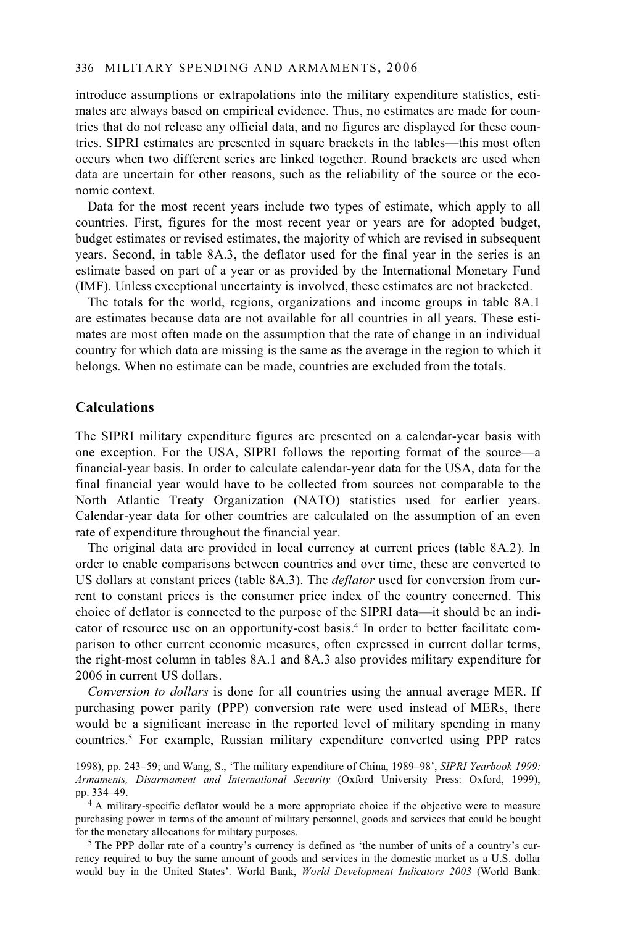#### 336 MILITARY SPENDING AND ARMAMENTS, 2006

introduce assumptions or extrapolations into the military expenditure statistics, estimates are always based on empirical evidence. Thus, no estimates are made for countries that do not release any official data, and no figures are displayed for these countries. SIPRI estimates are presented in square brackets in the tables—this most often occurs when two different series are linked together. Round brackets are used when data are uncertain for other reasons, such as the reliability of the source or the economic context.

Data for the most recent years include two types of estimate, which apply to all countries. First, figures for the most recent year or years are for adopted budget, budget estimates or revised estimates, the majority of which are revised in subsequent years. Second, in table 8A.3, the deflator used for the final year in the series is an estimate based on part of a year or as provided by the International Monetary Fund (IMF). Unless exceptional uncertainty is involved, these estimates are not bracketed.

The totals for the world, regions, organizations and income groups in table 8A.1 are estimates because data are not available for all countries in all years. These estimates are most often made on the assumption that the rate of change in an individual country for which data are missing is the same as the average in the region to which it belongs. When no estimate can be made, countries are excluded from the totals.

#### **Calculations**

The SIPRI military expenditure figures are presented on a calendar-year basis with one exception. For the USA, SIPRI follows the reporting format of the source—a financial-year basis. In order to calculate calendar-year data for the USA, data for the final financial year would have to be collected from sources not comparable to the North Atlantic Treaty Organization (NATO) statistics used for earlier years. Calendar-year data for other countries are calculated on the assumption of an even rate of expenditure throughout the financial year.

The original data are provided in local currency at current prices (table 8A.2). In order to enable comparisons between countries and over time, these are converted to US dollars at constant prices (table 8A.3). The *deflator* used for conversion from current to constant prices is the consumer price index of the country concerned. This choice of deflator is connected to the purpose of the SIPRI data—it should be an indicator of resource use on an opportunity-cost basis.4 In order to better facilitate comparison to other current economic measures, often expressed in current dollar terms, the right-most column in tables 8A.1 and 8A.3 also provides military expenditure for 2006 in current US dollars.

*Conversion to dollars* is done for all countries using the annual average MER. If purchasing power parity (PPP) conversion rate were used instead of MERs, there would be a significant increase in the reported level of military spending in many countries.5 For example, Russian military expenditure converted using PPP rates

 $5$  The PPP dollar rate of a country's currency is defined as 'the number of units of a country's currency required to buy the same amount of goods and services in the domestic market as a U.S. dollar would buy in the United States'. World Bank, *World Development Indicators 2003* (World Bank:

<sup>1998),</sup> pp. 243–59; and Wang, S., 'The military expenditure of China, 1989–98', *SIPRI Yearbook 1999: Armaments, Disarmament and International Security* (Oxford University Press: Oxford, 1999),

<sup>&</sup>lt;sup>4</sup> A military-specific deflator would be a more appropriate choice if the objective were to measure purchasing power in terms of the amount of military personnel, goods and services that could be bought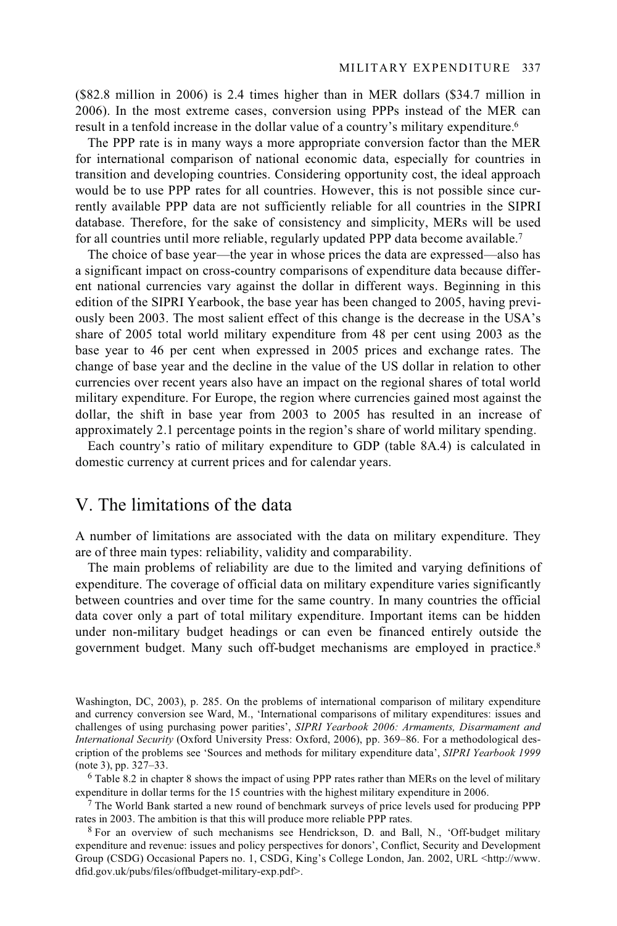(\$82.8 million in 2006) is 2.4 times higher than in MER dollars (\$34.7 million in 2006). In the most extreme cases, conversion using PPPs instead of the MER can result in a tenfold increase in the dollar value of a country's military expenditure.<sup>6</sup>

The PPP rate is in many ways a more appropriate conversion factor than the MER for international comparison of national economic data, especially for countries in transition and developing countries. Considering opportunity cost, the ideal approach would be to use PPP rates for all countries. However, this is not possible since currently available PPP data are not sufficiently reliable for all countries in the SIPRI database. Therefore, for the sake of consistency and simplicity, MERs will be used for all countries until more reliable, regularly updated PPP data become available.7

The choice of base year—the year in whose prices the data are expressed—also has a significant impact on cross-country comparisons of expenditure data because different national currencies vary against the dollar in different ways. Beginning in this edition of the SIPRI Yearbook, the base year has been changed to 2005, having previously been 2003. The most salient effect of this change is the decrease in the USA's share of 2005 total world military expenditure from 48 per cent using 2003 as the base year to 46 per cent when expressed in 2005 prices and exchange rates. The change of base year and the decline in the value of the US dollar in relation to other currencies over recent years also have an impact on the regional shares of total world military expenditure. For Europe, the region where currencies gained most against the dollar, the shift in base year from 2003 to 2005 has resulted in an increase of approximately 2.1 percentage points in the region's share of world military spending.

Each country's ratio of military expenditure to GDP (table 8A.4) is calculated in domestic currency at current prices and for calendar years.

## V. The limitations of the data

A number of limitations are associated with the data on military expenditure. They are of three main types: reliability, validity and comparability.

The main problems of reliability are due to the limited and varying definitions of expenditure. The coverage of official data on military expenditure varies significantly between countries and over time for the same country. In many countries the official data cover only a part of total military expenditure. Important items can be hidden under non-military budget headings or can even be financed entirely outside the government budget. Many such off-budget mechanisms are employed in practice.8

expenditure in dollar terms for the 15 countries with the highest military expenditure in 2006.<br><sup>7</sup> The World Bank started a new round of benchmark surveys of price levels used for producing PPP

rates in 2003. The ambition is that this will produce more reliable PPP rates.<br><sup>8</sup> For an overview of such mechanisms see Hendrickson, D. and Ball, N., 'Off-budget military

Washington, DC, 2003), p. 285. On the problems of international comparison of military expenditure and currency conversion see Ward, M., 'International comparisons of military expenditures: issues and challenges of using purchasing power parities', *SIPRI Yearbook 2006: Armaments, Disarmament and International Security* (Oxford University Press: Oxford, 2006), pp. 369–86. For a methodological description of the problems see 'Sources and methods for military expenditure data', *SIPRI Yearbook 1999* (note 3), pp. 327–33.<br><sup>6</sup> Table 8.2 in chapter 8 shows the impact of using PPP rates rather than MERs on the level of military

expenditure and revenue: issues and policy perspectives for donors', Conflict, Security and Development Group (CSDG) Occasional Papers no. 1, CSDG, King's College London, Jan. 2002, URL <http://www. dfid.gov.uk/pubs/files/offbudget-military-exp.pdf>.